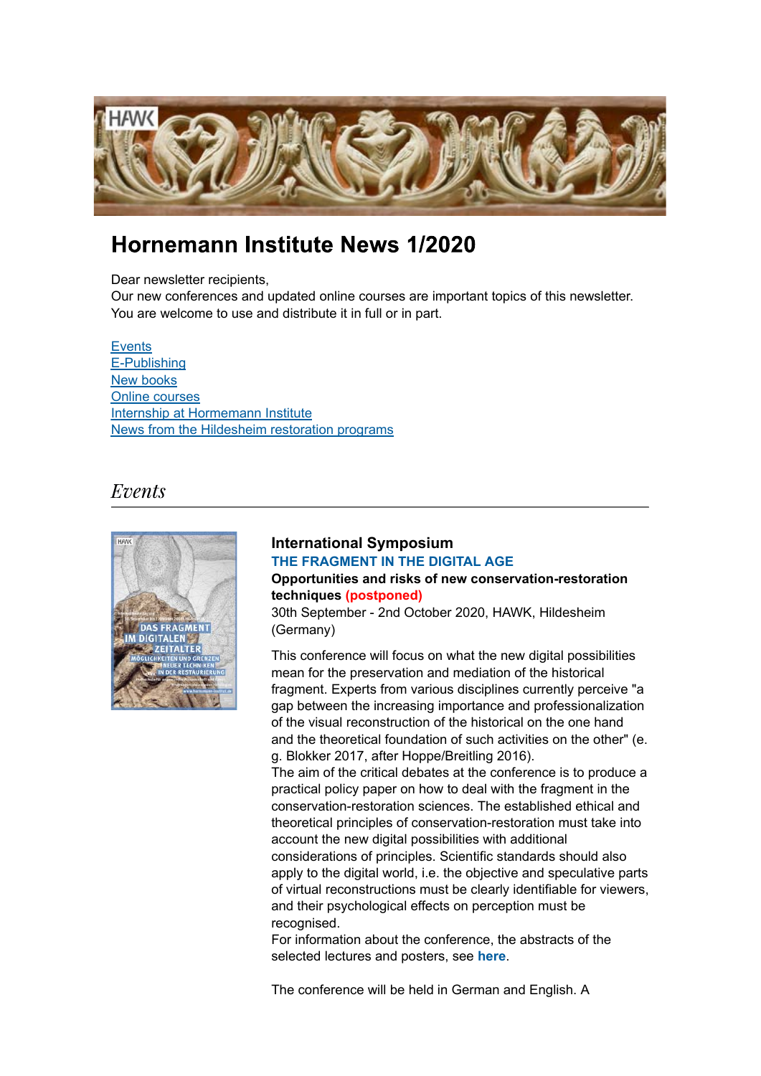

# Hornemann Institute News 1/2020

Dear newsletter recipients.

Our new conferences and updated online courses are important topics of this newsletter. You are welcome to use and distribute it in full or in part.

#### **Events**

E-Publishing New books Online courses Internship at Hormemann Institute News from the Hildesheim restoration programs

## Events



## **International Symposium [THE FRAGMENT IN](https://www.hornemann-institut.de/english/conference_fragment_digital_age.php) THE DIGITAL AGE Opportunities and risks of new conservation-restoration techniques (postponed)**

30th September - 2nd October 2020, HAWK, Hildesheim (Germany)

This conference will focus on what the new digital possibilities mean for the preservation and mediation of the historical fragment. Experts from various disciplines currently perceive "a gap between the increasing importance and professionalization of the visual reconstruction of the historical on the one hand and the theoretical foundation of such activities on the other" (e. g. Blokker 2017, after Hoppe/Breitling 2016).

The aim of the critical debates at the conference is to produce a practical policy paper on how to deal with the fragment in the conservation-restoration sciences. The established ethical and theoretical principles of conservation-restoration must take into account the new digital possibilities with additional considerations of principles. Scientific standards should also apply to the digital world, i.e. the objective and speculative parts of virtual reconstructions must be clearly identifiable for viewers, and their psychological effects on perception must be recognised.

For information about the conference, the abstracts of the selected lectures and posters, see **[here](https://www.hornemann-institut.de/english/conference_fragment_digital_age.php)**.

The conference will be held in German and English. A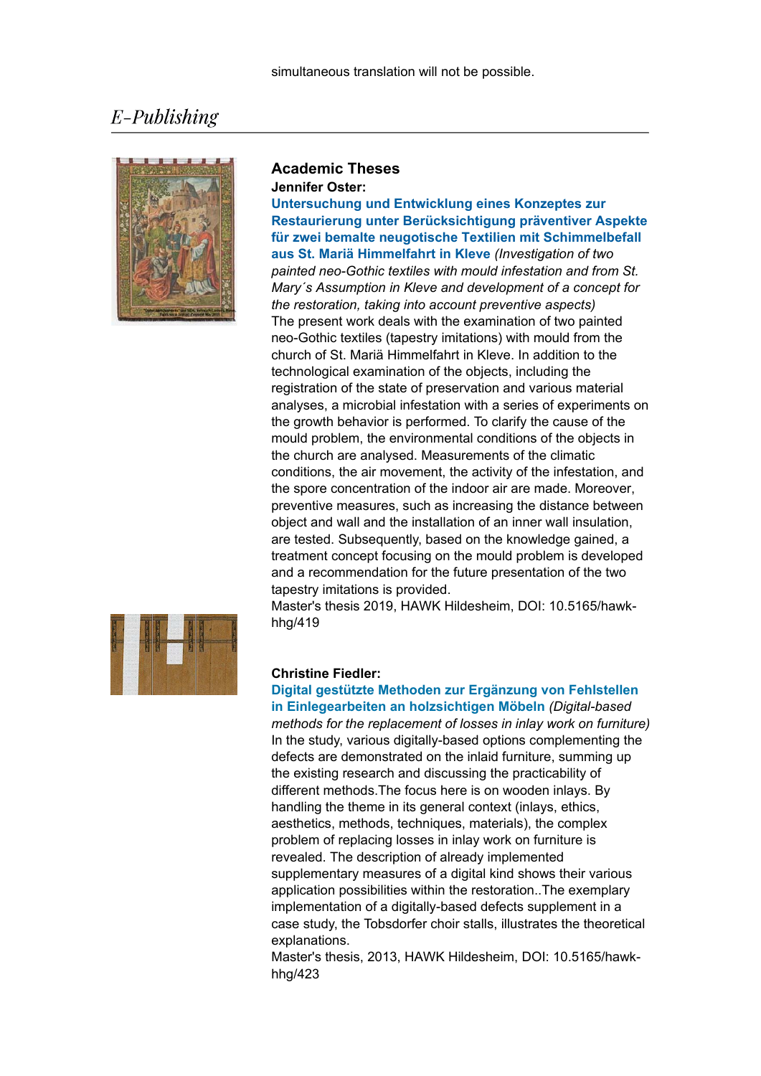# E-Publishing



#### **Academic Theses Jennifer Oster:**

**Untersuchung und Entwicklung eines Konzeptes zur [Restaurierung unter Berücksichtigung präventiver Aspekte](https://www.hornemann-institut.de/english/epubl_hochschularbeiten3164.php)  für zwei bemalte neugotische Textilien mit Schimmelbefall aus St. Mariä Himmelfahrt in Kleve** *(Investigation of two painted neo-Gothic textiles with mould infestation and from St. Mary´s Assumption in Kleve and development of a concept for the restoration, taking into account preventive aspects)* The present work deals with the examination of two painted neo-Gothic textiles (tapestry imitations) with mould from the church of St. Mariä Himmelfahrt in Kleve. In addition to the technological examination of the objects, including the registration of the state of preservation and various material analyses, a microbial infestation with a series of experiments on the growth behavior is performed. To clarify the cause of the mould problem, the environmental conditions of the objects in the church are analysed. Measurements of the climatic conditions, the air movement, the activity of the infestation, and the spore concentration of the indoor air are made. Moreover, preventive measures, such as increasing the distance between object and wall and the installation of an inner wall insulation, are tested. Subsequently, based on the knowledge gained, a treatment concept focusing on the mould problem is developed and a recommendation for the future presentation of the two tapestry imitations is provided.

Master's thesis 2019, HAWK Hildesheim, DOI: 10.5165/hawkhhg/419



#### **Christine Fiedler:**

**[Digital gestützte Methoden zur Ergänzung von Fehlstellen](https://www.hornemann-institut.de/english/epubl_hochschularbeiten1961.php)  in Einlegearbeiten an holzsichtigen Möbeln** *(Digital-based methods for the replacement of losses in inlay work on furniture)* In the study, various digitally-based options complementing the defects are demonstrated on the inlaid furniture, summing up the existing research and discussing the practicability of different methods.The focus here is on wooden inlays. By handling the theme in its general context (inlays, ethics, aesthetics, methods, techniques, materials), the complex problem of replacing losses in inlay work on furniture is revealed. The description of already implemented supplementary measures of a digital kind shows their various application possibilities within the restoration..The exemplary implementation of a digitally-based defects supplement in a case study, the Tobsdorfer choir stalls, illustrates the theoretical explanations.

Master's thesis, 2013, HAWK Hildesheim, DOI: 10.5165/hawkhhg/423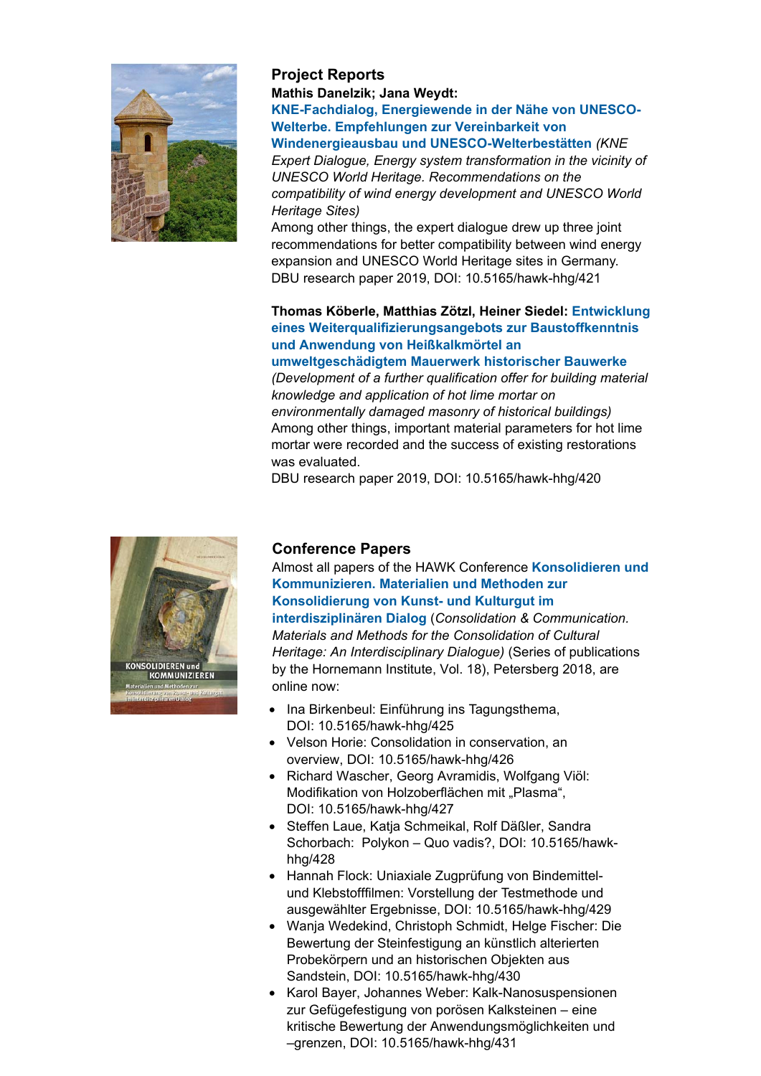

## **Project Reports Mathis Danelzik; Jana Weydt:**

**KNE-Fachdialog' Energiewende in der Nähe von UNESCO-Welterbe. Empfehlungen zur Vereinbarkeit von**

**[Windenergieausbau und UNESCO-Welterbestätten](https://www.hornemann-institut.de/english/epubl_projekte164.php)** *(KNE Expert Dialogue, Energy system transformation in the vicinity of UNESCO World Heritage. Recommendations on the compatibility of wind energy development and UNESCO World Heritage Sites)*

Among other things, the expert dialogue drew up three joint recommendations for better compatibility between wind energy expansion and UNESCO World Heritage sites in Germany. DBU research paper 2019, DOI: 10.5165/hawk-hhg/421

### **Thomas Köberle, Matthias Zötzl, Heiner Siedel: Entwicklung eines Weiterqualifizierungsangebots zur Baustoffkenntnis und Anwendung von Heißkalkmörtel an**

### **[umweltgeschädigtem Mauerwerk historischer Bauwerke](https://www.hornemann-institut.de/english/epubl_projekte163.php)**

*(Development of a further qualification offer for building material knowledge and application of hot lime mortar on environmentally damaged masonry of historical buildings)* Among other things, important material parameters for hot lime mortar were recorded and the success of existing restorations was evaluated.

DBU research paper 2019, DOI: 10.5165/hawk-hhg/420



### **Conference Papers**

Almost all papers of the HAWK Conference **Konsolidieren und [Kommunizieren. Materialien und Methoden zur](https://www.hornemann-institut.de/english/Consolidation.php) Konsolidierung von Kunst- und Kulturgut im**

**interdisziplinären Dialog** (*Consolidation & Communication. Materials and Methods for the Consolidation of Cultural Heritage: An Interdisciplinary Dialogue)* (Series of publications by the Hornemann Institute, Vol. 18), Petersberg 2018, are online now:

- Ina Birkenbeul: Einführung ins Tagungsthema, DOI: 10.5165/hawk-hhg/425
- Velson Horie: Consolidation in conservation, an overview, DOI: 10.5165/hawk-hhg/426
- Richard Wascher, Georg Avramidis, Wolfgang Viöl: Modifikation von Holzoberflächen mit "Plasma", DOI: 10.5165/hawk-hhg/427
- Steffen Laue, Katja Schmeikal, Rolf Däßler, Sandra Schorbach: Polykon – Quo vadis?, DOI: 10.5165/hawkhhg/428
- Hannah Flock: Uniaxiale Zugprüfung von Bindemittelund Klebstofffilmen: Vorstellung der Testmethode und ausgewählter Ergebnisse, DOI: 10.5165/hawk-hhg/429
- Wanja Wedekind, Christoph Schmidt, Helge Fischer: Die Bewertung der Steinfestigung an künstlich alterierten Probekörpern und an historischen Objekten aus Sandstein, DOI: 10.5165/hawk-hhg/430
- Karol Bayer, Johannes Weber: Kalk-Nanosuspensionen zur Gefügefestigung von porösen Kalksteinen – eine kritische Bewertung der Anwendungsmöglichkeiten und –grenzen, DOI: 10.5165/hawk-hhg/431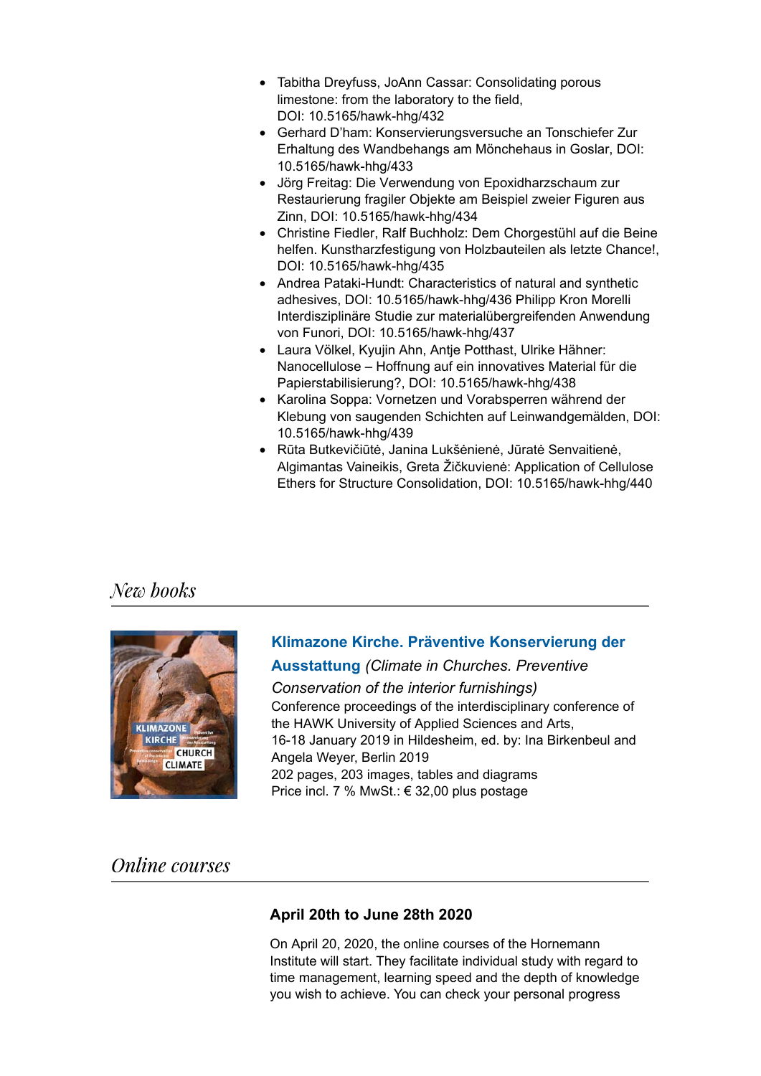- Tabitha Dreyfuss, JoAnn Cassar: Consolidating porous limestone: from the laboratory to the field, DOI: 10.5165/hawk-hhg/432
- Gerhard D'ham: Konservierungsversuche an Tonschiefer Zur Erhaltung des Wandbehangs am Mönchehaus in Goslar, DOI: 10.5165/hawk-hhg/433
- Jörg Freitag: Die Verwendung von Epoxidharzschaum zur Restaurierung fragiler Objekte am Beispiel zweier Figuren aus Zinn, DOI: 10.5165/hawk-hhg/434
- Christine Fiedler, Ralf Buchholz: Dem Chorgestühl auf die Beine helfen. Kunstharzfestigung von Holzbauteilen als letzte Chance!, DOI: 10.5165/hawk-hhg/435
- Andrea Pataki-Hundt: Characteristics of natural and synthetic adhesives, DOI: 10.5165/hawk-hhg/436 Philipp Kron Morelli Interdisziplinäre Studie zur materialübergreifenden Anwendung von Funori, DOI: 10.5165/hawk-hhg/437
- Laura Völkel, Kyujin Ahn, Antje Potthast, Ulrike Hähner: Nanocellulose – Hoffnung auf ein innovatives Material für die Papierstabilisierung?, DOI: 10.5165/hawk-hhg/438
- Karolina Soppa: Vornetzen und Vorabsperren während der Klebung von saugenden Schichten auf Leinwandgemälden, DOI: 10.5165/hawk-hhg/439
- Rūta Butkevičiūtė, Janina Lukšėnienė, Jūratė Senvaitienė, Algimantas Vaineikis, Greta Žičkuvienė: Application of Cellulose Ethers for Structure Consolidation, DOI: 10.5165/hawk-hhg/440

## New books



# **[Klimazone Kirche. Präventive Konservierung der](https://www.hornemann-institut.de/english/conference_klimazone_kirche.php)**

**Ausstattung** *(Climate in Churches. Preventive*

*Conservation of the interior furnishings)* Conference proceedings of the interdisciplinary conference of the HAWK University of Applied Sciences and Arts, 16-18 January 2019 in Hildesheim, ed. by: Ina Birkenbeul and Angela Weyer, Berlin 2019 202 pages, 203 images, tables and diagrams Price incl. 7 % MwSt.: € 32,00 plus postage

# **Online** courses

## **April 20th to June 28th 2020**

On April 20, 2020, the online courses of the Hornemann Institute will start. They facilitate individual study with regard to time management, learning speed and the depth of knowledge you wish to achieve. You can check your personal progress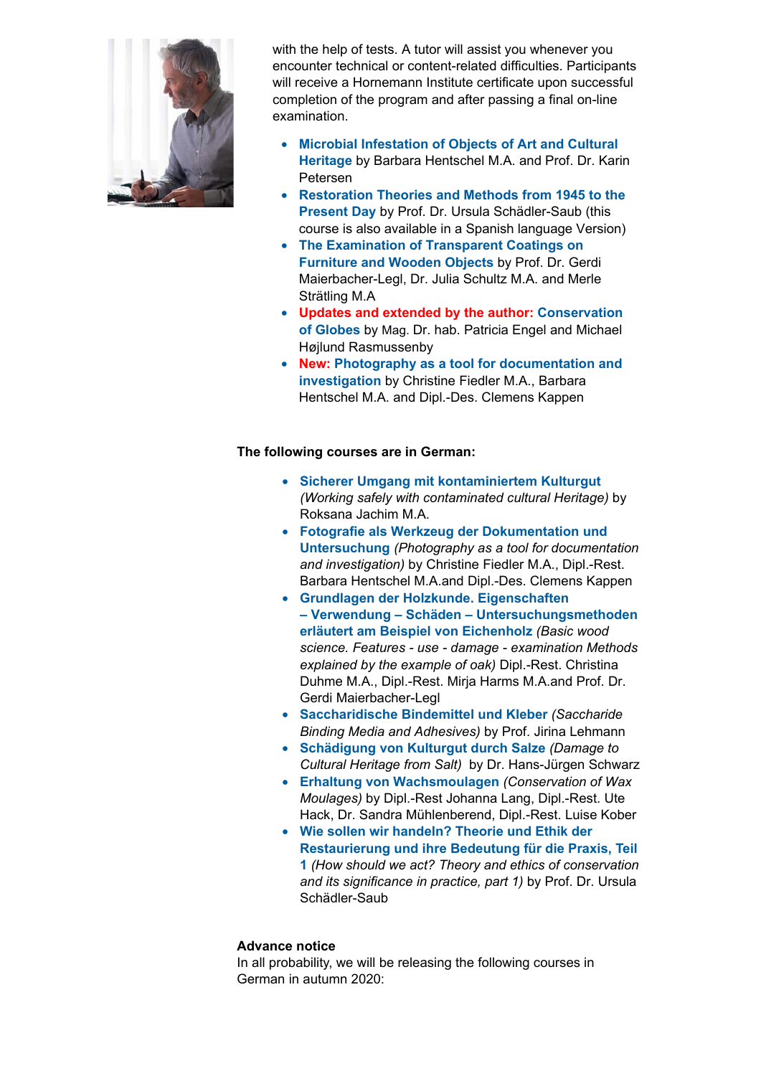

with the help of tests. A tutor will assist you whenever you encounter technical or content-related difficulties. Participants will receive a Hornemann Institute certificate upon successful completion of the program and after passing a final on-line examination.

- **Microbial Infestation of Objects of Art and Cultural Heritage** [by Barbara Hentschel M.A. and](https://www.hornemann-institut.de/english/course_microbiology.php) Prof. Dr. Karin Petersen
- **[Restoration Theories and](https://www.hornemann-institut.de/english/course_restoration_theories.php) Methods from 1945 to the Present Day** by Prof. Dr. Ursula Schädler-Saub (this course is also available in a Spanish language Version)
- **The Examination [of Transparent Coatings on](https://www.hornemann-institut.de/english/course_coatings.php) Furniture and Wooden Objects** by Prof. Dr. Gerdi Maierbacher-Legl, Dr. Julia Schultz M.A. and Merle Strätling M.A
- **Updates and [extended by the author:](https://www.hornemann-institut.de/english/course_globes.php) Conservation of Globes** by Mag. Dr. hab. Patricia Engel and Michael Højlund Rasmussenby
- **New: Photography as a tool for documentation and investigation** [by Christine Fiedler](https://www.hornemann-institut.de/english/course_docu_photography.php) M.A., Barbara Hentschel M.A. and Dipl.-Des. Clemens Kappen

### **The following courses are in German:**

- **[Sicherer Umgang mit kontaminiertem](https://www.hornemann-institut.de/german/fortbildung_kontaminiertes_kulturgut.php) Kulturgut** *(Working safely with contaminated cultural Heritage)* by Roksana Jachim M.A.
- **Fotografie als Werkzeug der Dokumentation und Untersuchung** *[\(Photography as a tool for document](https://www.hornemann-institut.de/german/fortbildung_doku_fotografie.php)ation and investigation)* by Christine Fiedler M.A., Dipl.-Rest. Barbara Hentschel M.A.and Dipl.-Des. Clemens Kappen
- **[Grundlagen der Holzkunde. Eigenschaften](https://www.hornemann-institut.de/german/fortbildung_eiche.php) – Verwendung – Schäden – Untersuchungsmethoden erläutert am Beispiel von Eichenholz** *(Basic wood science. Features - use - damage - examination Methods explained by the example of oak)* Dipl.-Rest. Christina Duhme M.A., Dipl.-Rest. Mirja Harms M.A.and Prof. Dr. Gerdi Maierbacher-Legl
- **[Saccharidische Bindemittel und Kleber](https://www.hornemann-institut.de/german/fortbildung_bindemittel.php)** *(Saccharide Binding Media and Adhesives)* by Prof. Jirina Lehmann
- **Schädigung von [Kulturgut durch Salz](https://www.hornemann-institut.de/german/fortbildung_salze.php)e** *(Damage to Cultural Heritage from Salt)* by Dr. Hans-Jürgen Schwarz
- **[Erhaltung von Wachsmoulagen](https://www.hornemann-institut.de/german/fortbildung_wachsmoulagen.php)** *(Conservation of Wax Moulages)* by Dipl.-Rest Johanna Lang, Dipl.-Rest. Ute Hack, Dr. Sandra Mühlenberend, Dipl.-Rest. Luise Kober
- **Wie sollen wir handeln? Theorie und Ethik der Restaurierung und ihre Bedeutung für die Praxis, Teil 1** *(How should we [act? Theory and ethics of conservation](https://www.hornemann-institut.de/german/fortbildung_restaurierungstheorien_neu.php) and its significance in practice, part 1)* by Prof. Dr. Ursula Schädler-Saub

#### **Advance notice**

In all probability, we will be releasing the following courses in German in autumn 2020: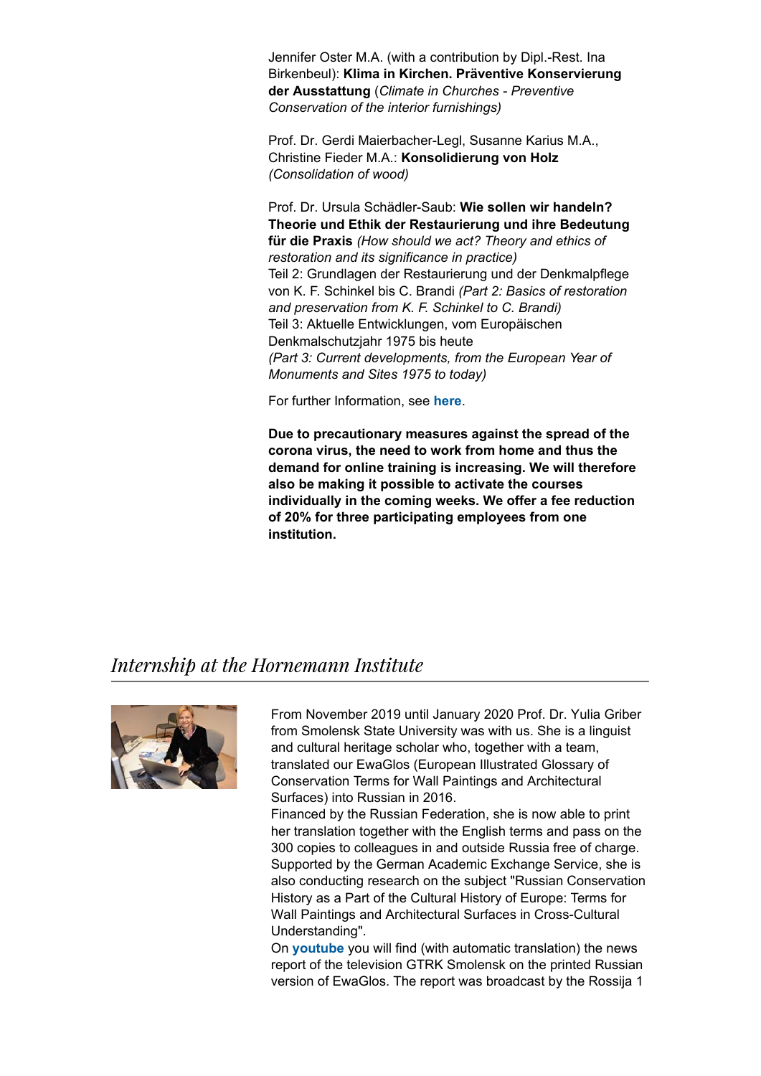Jennifer Oster M.A. (with a contribution by Dipl.-Rest. Ina Birkenbeul): **Klima in Kirchen. Präventive Konservierung der Ausstattung** (*Climate in Churches - Preventive Conservation of the interior furnishings)*

Prof. Dr. Gerdi Maierbacher-Legl, Susanne Karius M.A., Christine Fieder M.A.: **Konsolidierung von Holz**  *(Consolidation of wood)*

Prof. Dr. Ursula Schädler-Saub: **Wie sollen wir handeln? Theorie und Ethik der Restaurierung und ihre Bedeutung für die Praxis** *(How should we act? Theory and ethics of restoration and its significance in practice)* Teil 2: Grundlagen der Restaurierung und der Denkmalpflege von K. F. Schinkel bis C. Brandi *(Part 2: Basics of restoration and preservation from K. F. Schinkel to C. Brandi)* Teil 3: Aktuelle Entwicklungen, vom Europäischen Denkmalschutzjahr 1975 bis heute *(Part 3: Current developments, from the European Year of Monuments and Sites 1975 to today)*

For further Information, see **[here](https://www.hornemann-institut.de/german/fortbildung.php)**.

**Due to precautionary measures against the spread of the corona virus, the need to work from home and thus the demand for online training is increasing. We will therefore also be making it possible to activate the courses individually in the coming weeks. We offer a fee reduction of 20% for three participating employees from one institution.**

## Internship at the Hornemann Institute



From November 2019 until January 2020 Prof. Dr. Yulia Griber from Smolensk State University was with us. She is a linguist and cultural heritage scholar who, together with a team, translated our EwaGlos (European Illustrated Glossary of Conservation Terms for Wall Paintings and Architectural Surfaces) into Russian in 2016.

Financed by the Russian Federation, she is now able to print her translation together with the English terms and pass on the 300 copies to colleagues in and outside Russia free of charge. Supported by the German Academic Exchange Service, she is also conducting research on the subject "Russian Conservation History as a Part of the Cultural History of Europe: Terms for Wall Paintings and Architectural Surfaces in Cross-Cultural Understanding".

On **[youtube](https://www.youtube.com/watch?v=vJyTQbEiMc0)** you will find (with automatic translation) the news report of the television GTRK Smolensk on the printed Russian version of EwaGlos. The report was broadcast by the Rossija 1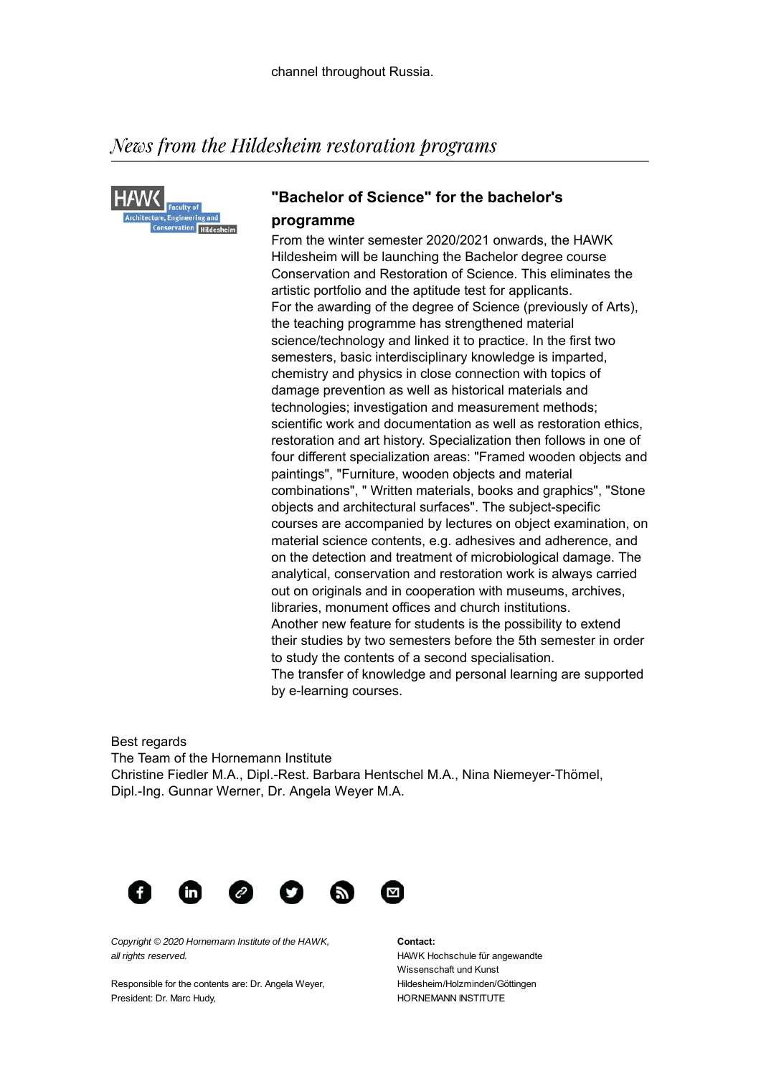# News from the Hildesheim restoration programs



## **"Bachelor of Science" for the bachelor's programme**

From the winter semester 2020/2021 onwards, the HAWK Hildesheim will be launching the Bachelor degree course Conservation and Restoration of Science. This eliminates the artistic portfolio and the aptitude test for applicants. For the awarding of the degree of Science (previously of Arts), the teaching programme has strengthened material science/technology and linked it to practice. In the first two semesters, basic interdisciplinary knowledge is imparted, chemistry and physics in close connection with topics of damage prevention as well as historical materials and technologies; investigation and measurement methods; scientific work and documentation as well as restoration ethics, restoration and art history. Specialization then follows in one of four different specialization areas: "Framed wooden objects and paintings", "Furniture, wooden objects and material combinations", " Written materials, books and graphics", "Stone objects and architectural surfaces". The subject-specific courses are accompanied by lectures on object examination, on material science contents, e.g. adhesives and adherence, and on the detection and treatment of microbiological damage. The analytical, conservation and restoration work is always carried out on originals and in cooperation with museums, archives, libraries, monument offices and church institutions. Another new feature for students is the possibility to extend their studies by two semesters before the 5th semester in order to study the contents of a second specialisation. The transfer of knowledge and personal learning are supported by e-learning courses.

Best regards The Team of the Hornemann Institute Christine Fiedler M.A., Dipl.-Rest. Barbara Hentschel M.A., Nina Niemeyer-Thömel, Dipl.-Ing. Gunnar Werner, Dr. Angela Weyer M.A.



*Copyright © 2020 Hornemann Institute of the HAWK, all rights reserved.*

Responsible for the contents are: Dr. Angela Weyer, President: Dr. Marc Hudy,

**Contact:** HAWK Hochschule für angewandte Wissenschaft und Kunst Hildesheim/Holzminden/Göttingen HORNEMANN INSTITUTE